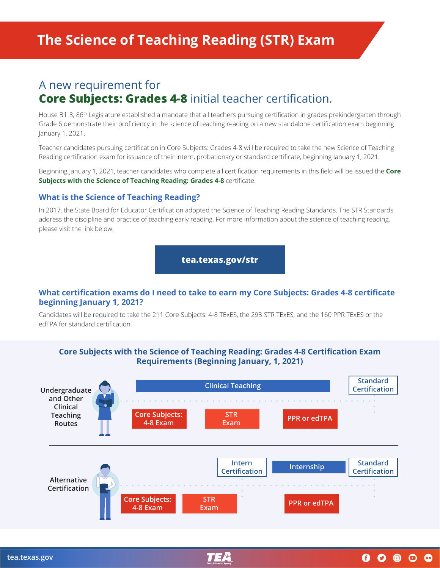# A new requirement for **Core Subjects: Grades 4-8** initial teacher certification.

House Bill 3, 86th Legislature established a mandate that all teachers pursuing certification in grades prekindergarten through Grade 6 demonstrate their proficiency in the science of teaching reading on a new standalone certification exam beginning January 1, 2021.

Teacher candidates pursuing certification in Core Subjects: Grades 4-8 will be required to take the new Science of Teaching Reading certification exam for issuance of their intern, probationary or standard certificate, beginning January 1, 2021.

Beginning January 1, 2021, teacher candidates who complete all certification requirements in this field will be issued the **Core Subjects with the Science of Teaching Reading: Grades 4-8** certificate.

### **What is the Science of Teaching Reading?**

In 2017, the State Board for Educator Certification adopted the Science of Teaching Reading Standards. The STR Standards address the discipline and practice of teaching early reading. For more information about the science of teaching reading, please visit the link below:

**[tea.texas.gov/str](http://tea.texas.gov/str)**

#### **What certification exams do I need to take to earn my Core Subjects: Grades 4-8 certificate beginning January 1, 2021?**

Candidates will be required to take the 211 Core Subjects: 4-8 TExES, the 293 STR TExES, and the 160 PPR TExES or the edTPA for standard certification.